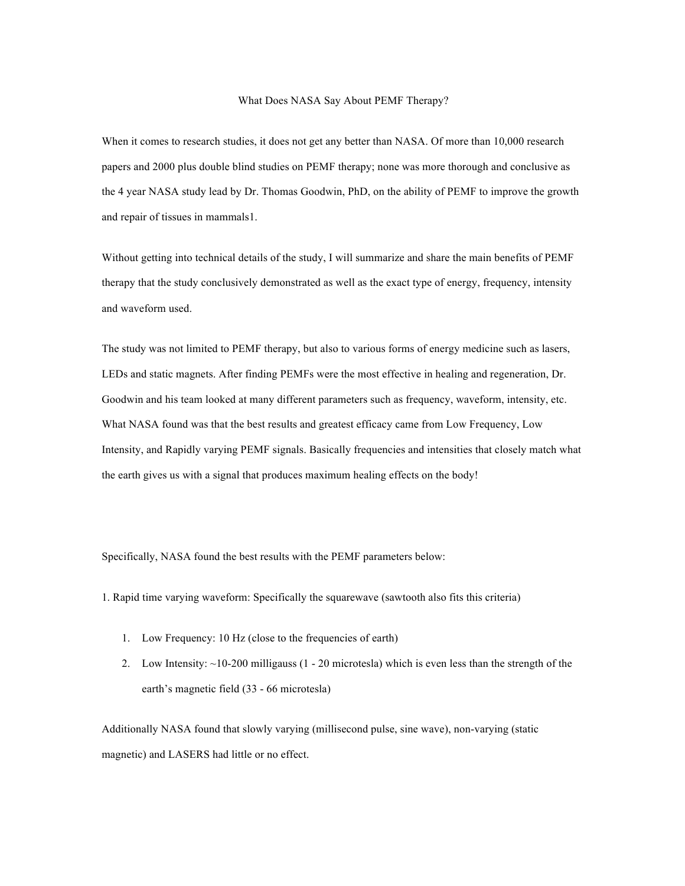## What Does NASA Say About PEMF Therapy?

When it comes to research studies, it does not get any better than NASA. Of more than 10,000 research papers and 2000 plus double blind studies on PEMF therapy; none was more thorough and conclusive as the 4 year NASA study lead by Dr. Thomas Goodwin, PhD, on the ability of PEMF to improve the growth and repair of tissues in mammals1.

Without getting into technical details of the study, I will summarize and share the main benefits of PEMF therapy that the study conclusively demonstrated as well as the exact type of energy, frequency, intensity and waveform used.

The study was not limited to PEMF therapy, but also to various forms of energy medicine such as lasers, LEDs and static magnets. After finding PEMFs were the most effective in healing and regeneration, Dr. Goodwin and his team looked at many different parameters such as frequency, waveform, intensity, etc. What NASA found was that the best results and greatest efficacy came from Low Frequency, Low Intensity, and Rapidly varying PEMF signals. Basically frequencies and intensities that closely match what the earth gives us with a signal that produces maximum healing effects on the body!

Specifically, NASA found the best results with the PEMF parameters below:

1. Rapid time varying waveform: Specifically the squarewave (sawtooth also fits this criteria)

- 1. Low Frequency: 10 Hz (close to the frequencies of earth)
- 2. Low Intensity: ~10-200 milligauss (1 20 microtesla) which is even less than the strength of the earth's magnetic field (33 - 66 microtesla)

Additionally NASA found that slowly varying (millisecond pulse, sine wave), non-varying (static magnetic) and LASERS had little or no effect.